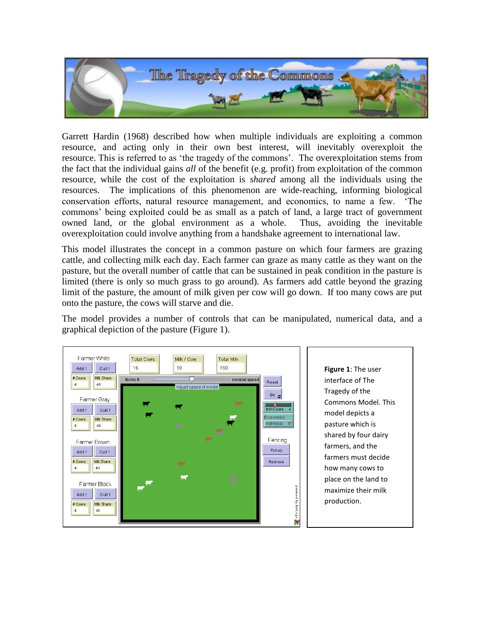

Garrett Hardin (1968) described how when multiple individuals are exploiting a common resource, and acting only in their own best interest, will inevitably overexploit the resource. This is referred to as 'the tragedy of the commons'. The overexploitation stems from the fact that the individual gains *all* of the benefit (e.g. profit) from exploitation of the common resource, while the cost of the exploitation is *shared* among all the individuals using the resources. The implications of this phenomenon are wide-reaching, informing biological conservation efforts, natural resource management, and economics, to name a few. 'The commons' being exploited could be as small as a patch of land, a large tract of government owned land, or the global environment as a whole. Thus, avoiding the inevitable overexploitation could involve anything from a handshake agreement to international law.

This model illustrates the concept in a common pasture on which four farmers are grazing cattle, and collecting milk each day. Each farmer can graze as many cattle as they want on the pasture, but the overall number of cattle that can be sustained in peak condition in the pasture is limited (there is only so much grass to go around). As farmers add cattle beyond the grazing limit of the pasture, the amount of milk given per cow will go down. If too many cows are put onto the pasture, the cows will starve and die.

The model provides a number of controls that can be manipulated, numerical data, and a graphical depiction of the pasture (Figure 1).



**Figure 1**: The user interface of The Tragedy of the Commons Model. This model depicts a pasture which is shared by four dairy farmers, and the farmers must decide how many cows to place on the land to maximize their milk production.